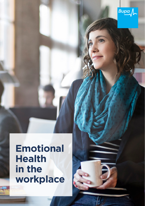

## **Emotional Health in the workplace**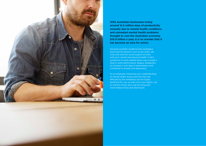

**With Australian businesses losing around 12.5 million days of productivity annually due to mental health conditions and untreated mental health problems thought to cost the Australian economy \$10.9 billion a year, it is no wonder that it has become an area for action.** 

Growing scientific evidence links workplace psychosocial stressors such as job strain, job insecurity and low social support at work with poor mental and physical health. In fact, symptoms of work-related stress may include a drop in work performance, fatigue, headaches, an increase in sick days or absenteeism and contribute to anxiety and depression.

As an employer, improving your understanding of mental health issues and how they are affected by the workplace can be hugely beneficial for you, as well as for your teams, not to mention those who may be living with work-related stress and depression.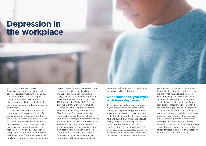# **Depression in the workplace**

According to the World Health Organisation, depression is the leading cause of disability worldwide. By 2030, it is estimated that it will be largest contributor to the global burden of disease, most likely due to the lack of preventive programs and poor access to treatments.

It follows naturally that a condition as common as depression is likely to affect each and every workplace. More than 14% of the Australian workforce – at least 1.5 million people – are likely affected by depression according to a government health survey. Having depression can reduce a person's ability to function in every aspect of life, from work to home and socially too. The immense personal, family and financial costs associated with

depression are both a social and economic challenge. Looking specifically at the impact of depression in the workplace, every year, job-stress related depression costs the Australian economy around \$730 million – that's about \$11.8 billion over the average working lifetime. The 2010 report Estimating the Economic Benefits of Eliminating Job Strain as a Risk Factor for Depression attributes these costs to a combination of lost productivity, employee replacement costs, and treatment costs such as medications. This reinforces previous studies which show that employers are already paying a high cost for depression in their workforce, and provides a clear business incentive for employers to invest in mental healthpromoting and help-seeking initiatives –

the return on investment is potentially in the tens of millions of dollars.

#### **Does someone you work with have depression?**

It's not your job to diagnose depression in your staff, but if you suspect that an employee is experiencing symptoms of anxiety or depression, it is in everyone's best interests for you to offer appropriate help and support. Depression is not just feeling down or emotionally flat – we can all feel like that at some point in our lives – but it is a serious illness that often goes unrecognised. Depression is a sustained period (persisting longer than two weeks) of low mood that can affect

every aspect of a person's life, including their ability to enjoy pleasurable activities and their motivation to participate in work and family life. In severe cases, it can affect a person's ability to engage in activities of day-to-day living. Apart from persistent low mood, you might also notice subtle signs such as an alteration in concentration, memory and activity levels, or changes in appetite and in sleep patterns. If you recognise these signs, if they are affecting normal function and if they persist longer than two weeks, depression may be the cause. Getting help is essential and a good first step for the person affected is to talk with a doctor or another healthcare professional.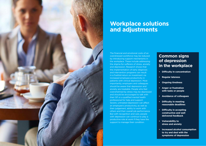

#### **Workplace solutions and adjustments**

The financial and emotional costs of an overstressed workforce may be reduced by introducing support mechanisms in the workplace. These include addressing the stigma for sufferers of stress, anxiety and depression. Research shows that the implementation of early diagnosis and intervention programs can result in a fivefold return on investment via increased employee productivity in patients with clinical depression. Most importantly, employers and colleagues should be aware that depression and anxiety are treatable. People who feel overwhelmed by stress may be depressed and should be encouraged to talk with their GP or a qualified mental health professional for help and support. Severe, untreated depression can affect an employee's productivity, as well as their judgement, ability to work with others and their overall job performance. But with recognition and care, people with depression can continue to play a productive role at work if they have the support to manage their condition.

#### **Common signs of depression in the workplace**

- **• Difficulty in concentration**
- **• Regular lateness**
- **• Ongoing tiredness**
- **• Anger or frustration with tasks or people**
- **• Avoidance of colleagues**
- **• Difficulty in meeting reasonable deadlines**
- **• Difficulty in accepting constructive and well delivered feedback**
- **• Vulnerability to stress and anxiety**
- **• Increased alcohol consumption to try and deal with the symptoms of depression**